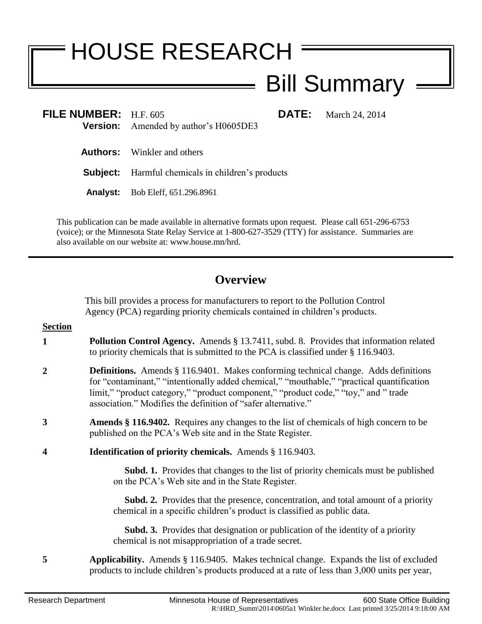## HOUSE RESEARCH

## Bill Summary

| FILE NUMBER: $H.F. 605$ | <b>Version:</b> Amended by author's H0605DE3             | <b>DATE:</b> March 24, 2014 |
|-------------------------|----------------------------------------------------------|-----------------------------|
|                         | <b>Authors:</b> Winkler and others                       |                             |
|                         | <b>Subject:</b> Harmful chemicals in children's products |                             |
|                         | <b>Analyst:</b> Bob Eleff, 651.296.8961                  |                             |

This publication can be made available in alternative formats upon request. Please call 651-296-6753 (voice); or the Minnesota State Relay Service at 1-800-627-3529 (TTY) for assistance. Summaries are also available on our website at: www.house.mn/hrd.

 $\equiv$ 

## **Overview**

This bill provides a process for manufacturers to report to the Pollution Control Agency (PCA) regarding priority chemicals contained in children's products.

| <b>Section</b>   |                                                                                                                                                                                                                                                                                                                                                 |
|------------------|-------------------------------------------------------------------------------------------------------------------------------------------------------------------------------------------------------------------------------------------------------------------------------------------------------------------------------------------------|
| 1                | <b>Pollution Control Agency.</b> Amends § 13.7411, subd. 8. Provides that information related<br>to priority chemicals that is submitted to the PCA is classified under $\S$ 116.9403.                                                                                                                                                          |
| $\overline{2}$   | <b>Definitions.</b> Amends § 116.9401. Makes conforming technical change. Adds definitions<br>for "contaminant," "intentionally added chemical," "mouthable," "practical quantification<br>limit," "product category," "product component," "product code," "toy," and " trade<br>association." Modifies the definition of "safer alternative." |
| 3                | <b>Amends</b> § 116.9402. Requires any changes to the list of chemicals of high concern to be<br>published on the PCA's Web site and in the State Register.                                                                                                                                                                                     |
| $\boldsymbol{4}$ | <b>Identification of priority chemicals.</b> Amends § 116.9403.                                                                                                                                                                                                                                                                                 |
|                  | <b>Subd. 1.</b> Provides that changes to the list of priority chemicals must be published<br>on the PCA's Web site and in the State Register.                                                                                                                                                                                                   |
|                  | <b>Subd. 2.</b> Provides that the presence, concentration, and total amount of a priority<br>chemical in a specific children's product is classified as public data.                                                                                                                                                                            |
|                  | <b>Subd. 3.</b> Provides that designation or publication of the identity of a priority<br>chemical is not misappropriation of a trade secret.                                                                                                                                                                                                   |
| 5                | <b>Applicability.</b> Amends § 116.9405. Makes technical change. Expands the list of excluded<br>products to include children's products produced at a rate of less than 3,000 units per year,                                                                                                                                                  |